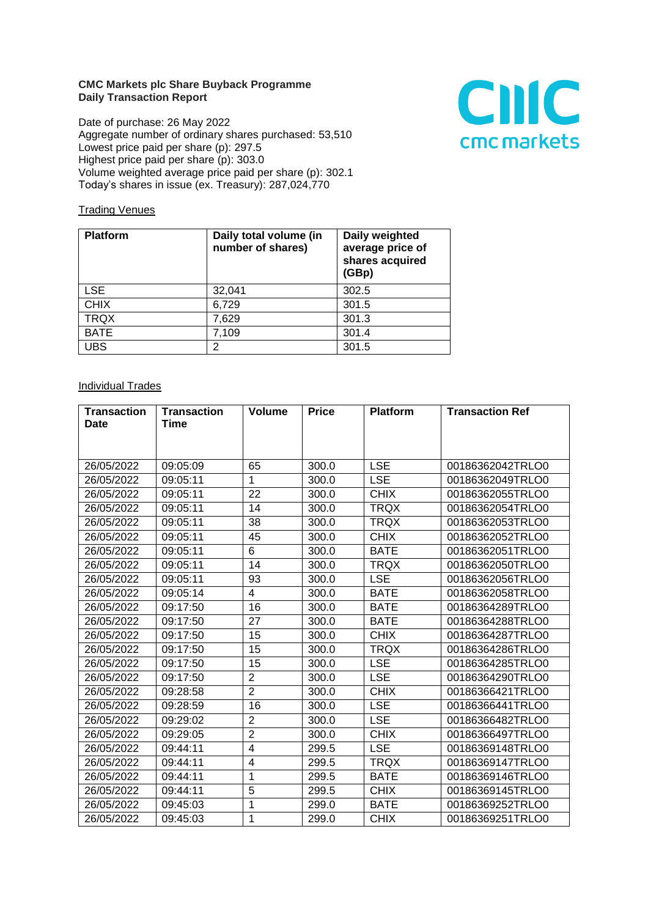## **CMC Markets plc Share Buyback Programme Daily Transaction Report**

Date of purchase: 26 May 2022 Aggregate number of ordinary shares purchased: 53,510 Lowest price paid per share (p): 297.5 Highest price paid per share (p): 303.0 Volume weighted average price paid per share (p): 302.1 Today's shares in issue (ex. Treasury): 287,024,770



## **Trading Venues**

| <b>Platform</b> | Daily total volume (in<br>number of shares) | Daily weighted<br>average price of<br>shares acquired<br>(GBp) |
|-----------------|---------------------------------------------|----------------------------------------------------------------|
| <b>LSE</b>      | 32,041                                      | 302.5                                                          |
| <b>CHIX</b>     | 6,729                                       | 301.5                                                          |
| <b>TRQX</b>     | 7,629                                       | 301.3                                                          |
| <b>BATE</b>     | 7,109                                       | 301.4                                                          |
| <b>UBS</b>      | 2                                           | 301.5                                                          |

## Individual Trades

| <b>Transaction</b><br>Date | <b>Transaction</b><br>Time | <b>Volume</b>           | <b>Price</b> | <b>Platform</b> | <b>Transaction Ref</b> |
|----------------------------|----------------------------|-------------------------|--------------|-----------------|------------------------|
|                            |                            |                         |              |                 |                        |
| 26/05/2022                 | 09:05:09                   | 65                      | 300.0        | <b>LSE</b>      | 00186362042TRLO0       |
| 26/05/2022                 | 09:05:11                   | 1                       | 300.0        | <b>LSE</b>      | 00186362049TRLO0       |
| 26/05/2022                 | 09:05:11                   | 22                      | 300.0        | <b>CHIX</b>     | 00186362055TRLO0       |
| 26/05/2022                 | 09:05:11                   | 14                      | 300.0        | <b>TRQX</b>     | 00186362054TRLO0       |
| 26/05/2022                 | 09:05:11                   | 38                      | 300.0        | <b>TRQX</b>     | 00186362053TRLO0       |
| 26/05/2022                 | 09:05:11                   | 45                      | 300.0        | <b>CHIX</b>     | 00186362052TRLO0       |
| 26/05/2022                 | 09:05:11                   | 6                       | 300.0        | <b>BATE</b>     | 00186362051TRLO0       |
| 26/05/2022                 | 09:05:11                   | 14                      | 300.0        | <b>TRQX</b>     | 00186362050TRLO0       |
| 26/05/2022                 | 09:05:11                   | 93                      | 300.0        | <b>LSE</b>      | 00186362056TRLO0       |
| 26/05/2022                 | 09:05:14                   | 4                       | 300.0        | <b>BATE</b>     | 00186362058TRLO0       |
| 26/05/2022                 | 09:17:50                   | 16                      | 300.0        | <b>BATE</b>     | 00186364289TRLO0       |
| 26/05/2022                 | 09:17:50                   | 27                      | 300.0        | <b>BATE</b>     | 00186364288TRLO0       |
| 26/05/2022                 | 09:17:50                   | 15                      | 300.0        | <b>CHIX</b>     | 00186364287TRLO0       |
| 26/05/2022                 | 09:17:50                   | 15                      | 300.0        | <b>TRQX</b>     | 00186364286TRLO0       |
| 26/05/2022                 | 09:17:50                   | 15                      | 300.0        | <b>LSE</b>      | 00186364285TRLO0       |
| 26/05/2022                 | 09:17:50                   | $\overline{2}$          | 300.0        | LSE.            | 00186364290TRLO0       |
| 26/05/2022                 | 09:28:58                   | $\overline{2}$          | 300.0        | <b>CHIX</b>     | 00186366421TRLO0       |
| 26/05/2022                 | 09:28:59                   | 16                      | 300.0        | <b>LSE</b>      | 00186366441TRLO0       |
| 26/05/2022                 | 09:29:02                   | $\overline{2}$          | 300.0        | <b>LSE</b>      | 00186366482TRLO0       |
| 26/05/2022                 | 09:29:05                   | $\overline{2}$          | 300.0        | <b>CHIX</b>     | 00186366497TRLO0       |
| 26/05/2022                 | 09:44:11                   | $\overline{\mathbf{4}}$ | 299.5        | <b>LSE</b>      | 00186369148TRLO0       |
| 26/05/2022                 | 09:44:11                   | 4                       | 299.5        | <b>TRQX</b>     | 00186369147TRLO0       |
| 26/05/2022                 | 09:44:11                   | 1                       | 299.5        | <b>BATE</b>     | 00186369146TRLO0       |
| 26/05/2022                 | 09:44:11                   | 5                       | 299.5        | <b>CHIX</b>     | 00186369145TRLO0       |
| 26/05/2022                 | 09:45:03                   | 1                       | 299.0        | <b>BATE</b>     | 00186369252TRLO0       |
| 26/05/2022                 | 09:45:03                   | 1                       | 299.0        | <b>CHIX</b>     | 00186369251TRLO0       |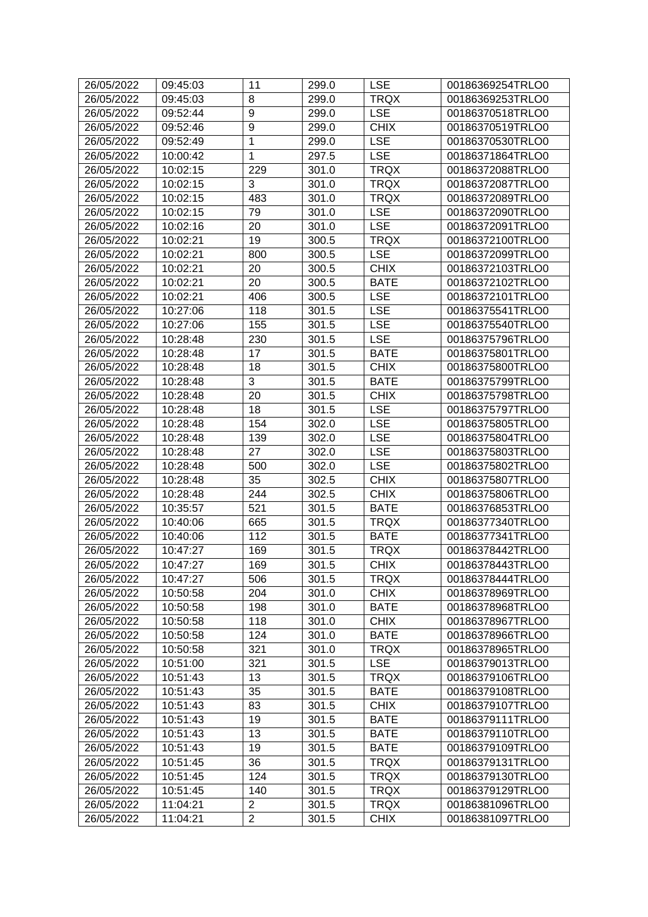| 26/05/2022 | 09:45:03 | 11             | 299.0 | <b>LSE</b>  | 00186369254TRLO0 |
|------------|----------|----------------|-------|-------------|------------------|
| 26/05/2022 | 09:45:03 | 8              | 299.0 | <b>TRQX</b> | 00186369253TRLO0 |
| 26/05/2022 | 09:52:44 | 9              | 299.0 | <b>LSE</b>  | 00186370518TRLO0 |
| 26/05/2022 | 09:52:46 | 9              | 299.0 | <b>CHIX</b> | 00186370519TRLO0 |
| 26/05/2022 | 09:52:49 | 1              | 299.0 | <b>LSE</b>  | 00186370530TRLO0 |
| 26/05/2022 | 10:00:42 | 1              | 297.5 | <b>LSE</b>  | 00186371864TRLO0 |
| 26/05/2022 | 10:02:15 | 229            | 301.0 | <b>TRQX</b> | 00186372088TRLO0 |
| 26/05/2022 | 10:02:15 | 3              | 301.0 | <b>TRQX</b> | 00186372087TRLO0 |
| 26/05/2022 | 10:02:15 | 483            | 301.0 | <b>TRQX</b> | 00186372089TRLO0 |
| 26/05/2022 | 10:02:15 | 79             | 301.0 | <b>LSE</b>  | 00186372090TRLO0 |
| 26/05/2022 | 10:02:16 | 20             | 301.0 | <b>LSE</b>  | 00186372091TRLO0 |
| 26/05/2022 | 10:02:21 | 19             | 300.5 | <b>TRQX</b> | 00186372100TRLO0 |
| 26/05/2022 | 10:02:21 | 800            | 300.5 | <b>LSE</b>  | 00186372099TRLO0 |
| 26/05/2022 | 10:02:21 | 20             | 300.5 | <b>CHIX</b> | 00186372103TRLO0 |
| 26/05/2022 | 10:02:21 | 20             | 300.5 | <b>BATE</b> | 00186372102TRLO0 |
| 26/05/2022 | 10:02:21 | 406            | 300.5 | <b>LSE</b>  | 00186372101TRLO0 |
| 26/05/2022 | 10:27:06 | 118            | 301.5 | <b>LSE</b>  | 00186375541TRLO0 |
| 26/05/2022 | 10:27:06 | 155            | 301.5 | <b>LSE</b>  | 00186375540TRLO0 |
| 26/05/2022 | 10:28:48 | 230            | 301.5 | <b>LSE</b>  | 00186375796TRLO0 |
| 26/05/2022 | 10:28:48 | 17             | 301.5 | <b>BATE</b> | 00186375801TRLO0 |
| 26/05/2022 | 10:28:48 | 18             | 301.5 | <b>CHIX</b> | 00186375800TRLO0 |
| 26/05/2022 | 10:28:48 | 3              | 301.5 | <b>BATE</b> | 00186375799TRLO0 |
| 26/05/2022 | 10:28:48 | 20             | 301.5 | <b>CHIX</b> | 00186375798TRLO0 |
| 26/05/2022 | 10:28:48 | 18             | 301.5 | <b>LSE</b>  | 00186375797TRLO0 |
| 26/05/2022 | 10:28:48 | 154            | 302.0 | <b>LSE</b>  | 00186375805TRLO0 |
| 26/05/2022 | 10:28:48 | 139            | 302.0 | <b>LSE</b>  | 00186375804TRLO0 |
| 26/05/2022 | 10:28:48 | 27             | 302.0 | <b>LSE</b>  | 00186375803TRLO0 |
| 26/05/2022 | 10:28:48 | 500            | 302.0 | <b>LSE</b>  | 00186375802TRLO0 |
| 26/05/2022 | 10:28:48 | 35             | 302.5 | <b>CHIX</b> | 00186375807TRLO0 |
| 26/05/2022 | 10:28:48 | 244            | 302.5 | <b>CHIX</b> | 00186375806TRLO0 |
| 26/05/2022 | 10:35:57 | 521            | 301.5 | <b>BATE</b> | 00186376853TRLO0 |
| 26/05/2022 | 10:40:06 | 665            | 301.5 | <b>TRQX</b> | 00186377340TRLO0 |
| 26/05/2022 | 10:40:06 | 112            | 301.5 | <b>BATE</b> | 00186377341TRLO0 |
| 26/05/2022 | 10:47:27 | 169            | 301.5 | <b>TRQX</b> | 00186378442TRLO0 |
| 26/05/2022 | 10:47:27 | 169            | 301.5 | <b>CHIX</b> | 00186378443TRLO0 |
| 26/05/2022 | 10:47:27 | 506            | 301.5 | <b>TRQX</b> | 00186378444TRLO0 |
| 26/05/2022 | 10:50:58 | 204            | 301.0 | <b>CHIX</b> | 00186378969TRLO0 |
| 26/05/2022 | 10:50:58 | 198            | 301.0 | <b>BATE</b> | 00186378968TRLO0 |
| 26/05/2022 | 10:50:58 | 118            | 301.0 | <b>CHIX</b> | 00186378967TRLO0 |
| 26/05/2022 | 10:50:58 | 124            | 301.0 | <b>BATE</b> | 00186378966TRLO0 |
| 26/05/2022 | 10:50:58 | 321            | 301.0 | <b>TRQX</b> | 00186378965TRLO0 |
| 26/05/2022 | 10:51:00 | 321            | 301.5 | <b>LSE</b>  | 00186379013TRLO0 |
| 26/05/2022 | 10:51:43 | 13             | 301.5 | <b>TRQX</b> | 00186379106TRLO0 |
| 26/05/2022 | 10:51:43 | 35             | 301.5 | <b>BATE</b> | 00186379108TRLO0 |
| 26/05/2022 | 10:51:43 | 83             | 301.5 | <b>CHIX</b> | 00186379107TRLO0 |
| 26/05/2022 | 10:51:43 | 19             | 301.5 | <b>BATE</b> | 00186379111TRLO0 |
| 26/05/2022 | 10:51:43 | 13             | 301.5 | <b>BATE</b> | 00186379110TRLO0 |
| 26/05/2022 | 10:51:43 | 19             | 301.5 | <b>BATE</b> | 00186379109TRLO0 |
| 26/05/2022 | 10:51:45 | 36             | 301.5 | <b>TRQX</b> | 00186379131TRLO0 |
| 26/05/2022 | 10:51:45 | 124            | 301.5 | <b>TRQX</b> | 00186379130TRLO0 |
| 26/05/2022 | 10:51:45 | 140            | 301.5 | <b>TRQX</b> | 00186379129TRLO0 |
| 26/05/2022 | 11:04:21 | $\overline{c}$ | 301.5 | <b>TRQX</b> | 00186381096TRLO0 |
| 26/05/2022 | 11:04:21 | $\overline{2}$ | 301.5 | <b>CHIX</b> | 00186381097TRLO0 |
|            |          |                |       |             |                  |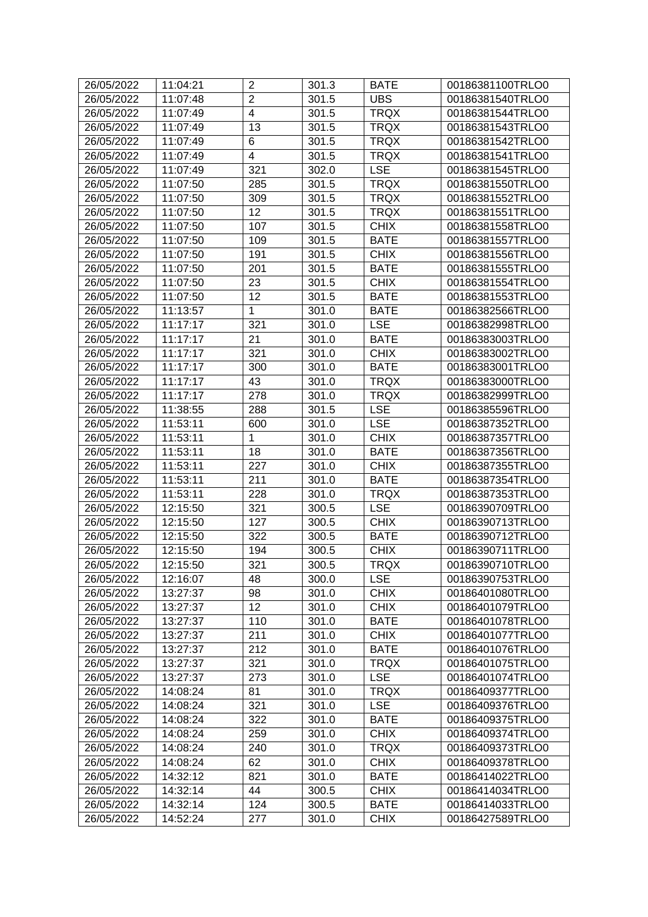| 26/05/2022 | 11:04:21 | $\overline{2}$ | 301.3 | <b>BATE</b> | 00186381100TRLO0 |
|------------|----------|----------------|-------|-------------|------------------|
| 26/05/2022 | 11:07:48 | $\overline{2}$ | 301.5 | <b>UBS</b>  | 00186381540TRLO0 |
| 26/05/2022 | 11:07:49 | 4              | 301.5 | <b>TRQX</b> | 00186381544TRLO0 |
| 26/05/2022 | 11:07:49 | 13             | 301.5 | <b>TRQX</b> | 00186381543TRLO0 |
| 26/05/2022 | 11:07:49 | 6              | 301.5 | <b>TRQX</b> | 00186381542TRLO0 |
| 26/05/2022 | 11:07:49 | 4              | 301.5 | <b>TRQX</b> | 00186381541TRLO0 |
| 26/05/2022 | 11:07:49 | 321            | 302.0 | <b>LSE</b>  | 00186381545TRLO0 |
| 26/05/2022 | 11:07:50 | 285            | 301.5 | <b>TRQX</b> | 00186381550TRLO0 |
| 26/05/2022 | 11:07:50 | 309            | 301.5 | <b>TRQX</b> | 00186381552TRLO0 |
| 26/05/2022 | 11:07:50 | 12             | 301.5 | <b>TRQX</b> | 00186381551TRLO0 |
| 26/05/2022 | 11:07:50 | 107            | 301.5 | <b>CHIX</b> | 00186381558TRLO0 |
| 26/05/2022 | 11:07:50 | 109            | 301.5 | <b>BATE</b> | 00186381557TRLO0 |
| 26/05/2022 | 11:07:50 | 191            | 301.5 | <b>CHIX</b> | 00186381556TRLO0 |
| 26/05/2022 | 11:07:50 | 201            | 301.5 | <b>BATE</b> | 00186381555TRLO0 |
| 26/05/2022 | 11:07:50 | 23             | 301.5 | <b>CHIX</b> | 00186381554TRLO0 |
| 26/05/2022 | 11:07:50 | 12             | 301.5 | <b>BATE</b> | 00186381553TRLO0 |
| 26/05/2022 | 11:13:57 | 1              | 301.0 | <b>BATE</b> | 00186382566TRLO0 |
| 26/05/2022 | 11:17:17 | 321            | 301.0 | <b>LSE</b>  | 00186382998TRLO0 |
| 26/05/2022 | 11:17:17 | 21             | 301.0 | <b>BATE</b> | 00186383003TRLO0 |
| 26/05/2022 | 11:17:17 | 321            | 301.0 | <b>CHIX</b> | 00186383002TRLO0 |
| 26/05/2022 | 11:17:17 | 300            | 301.0 | <b>BATE</b> | 00186383001TRLO0 |
| 26/05/2022 | 11:17:17 | 43             | 301.0 | <b>TRQX</b> | 00186383000TRLO0 |
| 26/05/2022 | 11:17:17 | 278            | 301.0 | <b>TRQX</b> | 00186382999TRLO0 |
| 26/05/2022 | 11:38:55 | 288            | 301.5 | <b>LSE</b>  | 00186385596TRLO0 |
| 26/05/2022 | 11:53:11 | 600            | 301.0 | <b>LSE</b>  | 00186387352TRLO0 |
| 26/05/2022 | 11:53:11 | 1              | 301.0 | <b>CHIX</b> | 00186387357TRLO0 |
| 26/05/2022 | 11:53:11 | 18             | 301.0 | BATE        | 00186387356TRLO0 |
| 26/05/2022 | 11:53:11 | 227            | 301.0 | <b>CHIX</b> | 00186387355TRLO0 |
| 26/05/2022 | 11:53:11 | 211            | 301.0 | <b>BATE</b> | 00186387354TRLO0 |
| 26/05/2022 | 11:53:11 | 228            | 301.0 | <b>TRQX</b> | 00186387353TRLO0 |
| 26/05/2022 | 12:15:50 | 321            | 300.5 | <b>LSE</b>  | 00186390709TRLO0 |
| 26/05/2022 | 12:15:50 | 127            | 300.5 | <b>CHIX</b> | 00186390713TRLO0 |
| 26/05/2022 | 12:15:50 | 322            | 300.5 | <b>BATE</b> | 00186390712TRLO0 |
| 26/05/2022 | 12:15:50 | 194            | 300.5 | <b>CHIX</b> | 00186390711TRLO0 |
| 26/05/2022 | 12:15:50 | 321            | 300.5 | <b>TRQX</b> | 00186390710TRLO0 |
| 26/05/2022 | 12:16:07 | 48             | 300.0 | <b>LSE</b>  | 00186390753TRLO0 |
| 26/05/2022 | 13:27:37 | 98             | 301.0 | <b>CHIX</b> | 00186401080TRLO0 |
| 26/05/2022 | 13:27:37 | 12             | 301.0 | <b>CHIX</b> | 00186401079TRLO0 |
| 26/05/2022 | 13:27:37 | 110            | 301.0 | <b>BATE</b> | 00186401078TRLO0 |
| 26/05/2022 | 13:27:37 | 211            | 301.0 | <b>CHIX</b> | 00186401077TRLO0 |
| 26/05/2022 | 13:27:37 | 212            | 301.0 | <b>BATE</b> | 00186401076TRLO0 |
| 26/05/2022 | 13:27:37 | 321            | 301.0 | <b>TRQX</b> | 00186401075TRLO0 |
| 26/05/2022 | 13:27:37 | 273            | 301.0 | <b>LSE</b>  | 00186401074TRLO0 |
| 26/05/2022 | 14:08:24 | 81             | 301.0 | <b>TRQX</b> | 00186409377TRLO0 |
| 26/05/2022 | 14:08:24 | 321            | 301.0 | <b>LSE</b>  | 00186409376TRLO0 |
| 26/05/2022 | 14:08:24 | 322            | 301.0 | <b>BATE</b> | 00186409375TRLO0 |
| 26/05/2022 | 14:08:24 | 259            | 301.0 | <b>CHIX</b> | 00186409374TRLO0 |
| 26/05/2022 | 14:08:24 | 240            | 301.0 | <b>TRQX</b> | 00186409373TRLO0 |
| 26/05/2022 | 14:08:24 | 62             | 301.0 | <b>CHIX</b> | 00186409378TRLO0 |
| 26/05/2022 | 14:32:12 | 821            | 301.0 | <b>BATE</b> | 00186414022TRLO0 |
| 26/05/2022 | 14:32:14 | 44             | 300.5 | <b>CHIX</b> | 00186414034TRLO0 |
| 26/05/2022 | 14:32:14 | 124            | 300.5 | <b>BATE</b> | 00186414033TRLO0 |
| 26/05/2022 | 14:52:24 | 277            | 301.0 | <b>CHIX</b> | 00186427589TRLO0 |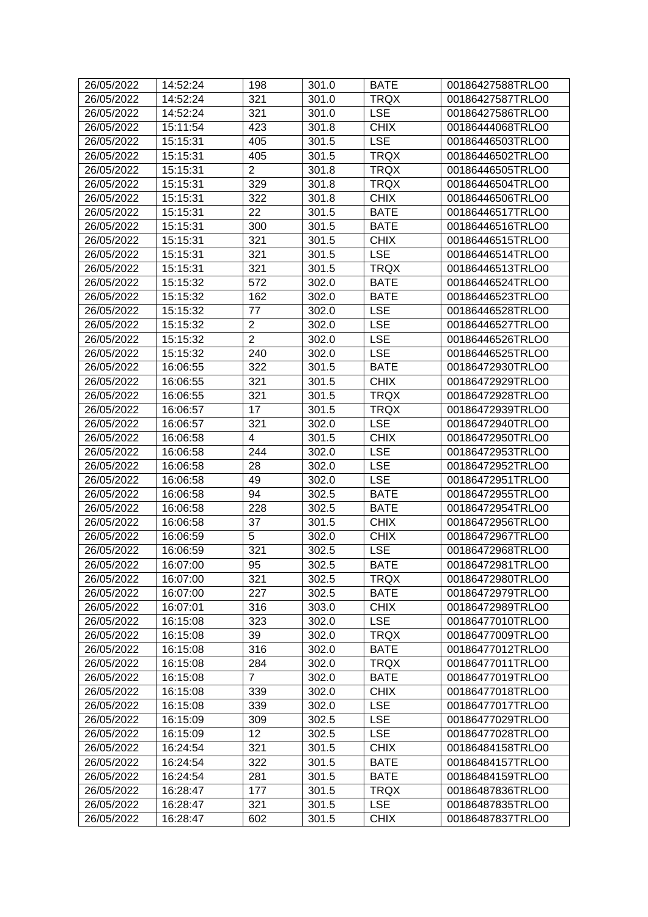| 26/05/2022 | 14:52:24 | 198            | 301.0 | <b>BATE</b> | 00186427588TRLO0 |
|------------|----------|----------------|-------|-------------|------------------|
| 26/05/2022 | 14:52:24 | 321            | 301.0 | <b>TRQX</b> | 00186427587TRLO0 |
| 26/05/2022 | 14:52:24 | 321            | 301.0 | <b>LSE</b>  | 00186427586TRLO0 |
| 26/05/2022 | 15:11:54 | 423            | 301.8 | <b>CHIX</b> | 00186444068TRLO0 |
| 26/05/2022 | 15:15:31 | 405            | 301.5 | <b>LSE</b>  | 00186446503TRLO0 |
| 26/05/2022 | 15:15:31 | 405            | 301.5 | <b>TRQX</b> | 00186446502TRLO0 |
| 26/05/2022 | 15:15:31 | $\overline{2}$ | 301.8 | <b>TRQX</b> | 00186446505TRLO0 |
| 26/05/2022 | 15:15:31 | 329            | 301.8 | <b>TRQX</b> | 00186446504TRLO0 |
| 26/05/2022 | 15:15:31 | 322            | 301.8 | <b>CHIX</b> | 00186446506TRLO0 |
| 26/05/2022 | 15:15:31 | 22             | 301.5 | <b>BATE</b> | 00186446517TRLO0 |
| 26/05/2022 | 15:15:31 | 300            | 301.5 | <b>BATE</b> | 00186446516TRLO0 |
| 26/05/2022 | 15:15:31 | 321            | 301.5 | <b>CHIX</b> | 00186446515TRLO0 |
| 26/05/2022 | 15:15:31 | 321            | 301.5 | <b>LSE</b>  | 00186446514TRLO0 |
| 26/05/2022 | 15:15:31 | 321            | 301.5 | <b>TRQX</b> | 00186446513TRLO0 |
| 26/05/2022 | 15:15:32 | 572            | 302.0 | <b>BATE</b> | 00186446524TRLO0 |
| 26/05/2022 | 15:15:32 | 162            | 302.0 | <b>BATE</b> | 00186446523TRLO0 |
| 26/05/2022 | 15:15:32 | 77             | 302.0 | <b>LSE</b>  | 00186446528TRLO0 |
| 26/05/2022 | 15:15:32 | $\overline{2}$ | 302.0 | <b>LSE</b>  | 00186446527TRLO0 |
| 26/05/2022 | 15:15:32 | $\overline{2}$ | 302.0 | <b>LSE</b>  | 00186446526TRLO0 |
| 26/05/2022 | 15:15:32 | 240            | 302.0 | <b>LSE</b>  | 00186446525TRLO0 |
| 26/05/2022 | 16:06:55 | 322            | 301.5 | <b>BATE</b> | 00186472930TRLO0 |
| 26/05/2022 | 16:06:55 | 321            | 301.5 | <b>CHIX</b> | 00186472929TRLO0 |
| 26/05/2022 | 16:06:55 | 321            | 301.5 | <b>TRQX</b> | 00186472928TRLO0 |
| 26/05/2022 | 16:06:57 | 17             | 301.5 | <b>TRQX</b> | 00186472939TRLO0 |
| 26/05/2022 | 16:06:57 | 321            | 302.0 | <b>LSE</b>  | 00186472940TRLO0 |
| 26/05/2022 | 16:06:58 | 4              | 301.5 | <b>CHIX</b> | 00186472950TRLO0 |
| 26/05/2022 | 16:06:58 | 244            | 302.0 | <b>LSE</b>  | 00186472953TRLO0 |
| 26/05/2022 | 16:06:58 | 28             | 302.0 | <b>LSE</b>  | 00186472952TRLO0 |
| 26/05/2022 | 16:06:58 | 49             | 302.0 | <b>LSE</b>  | 00186472951TRLO0 |
| 26/05/2022 | 16:06:58 | 94             | 302.5 | <b>BATE</b> | 00186472955TRLO0 |
| 26/05/2022 | 16:06:58 | 228            | 302.5 | <b>BATE</b> | 00186472954TRLO0 |
| 26/05/2022 | 16:06:58 | 37             | 301.5 | <b>CHIX</b> | 00186472956TRLO0 |
| 26/05/2022 | 16:06:59 | 5              | 302.0 | <b>CHIX</b> | 00186472967TRLO0 |
| 26/05/2022 | 16:06:59 | 321            | 302.5 | <b>LSE</b>  | 00186472968TRLO0 |
| 26/05/2022 | 16:07:00 | 95             | 302.5 | <b>BATE</b> | 00186472981TRLO0 |
| 26/05/2022 | 16:07:00 | 321            | 302.5 | <b>TRQX</b> | 00186472980TRLO0 |
| 26/05/2022 | 16:07:00 | 227            | 302.5 | <b>BATE</b> | 00186472979TRLO0 |
| 26/05/2022 | 16:07:01 | 316            | 303.0 | <b>CHIX</b> | 00186472989TRLO0 |
| 26/05/2022 | 16:15:08 | 323            | 302.0 | <b>LSE</b>  | 00186477010TRLO0 |
| 26/05/2022 | 16:15:08 | 39             | 302.0 | <b>TRQX</b> | 00186477009TRLO0 |
| 26/05/2022 | 16:15:08 | 316            | 302.0 | <b>BATE</b> | 00186477012TRLO0 |
| 26/05/2022 | 16:15:08 | 284            | 302.0 | <b>TRQX</b> | 00186477011TRLO0 |
| 26/05/2022 | 16:15:08 | $\overline{7}$ | 302.0 | <b>BATE</b> | 00186477019TRLO0 |
| 26/05/2022 | 16:15:08 | 339            | 302.0 | <b>CHIX</b> | 00186477018TRLO0 |
| 26/05/2022 | 16:15:08 | 339            | 302.0 | <b>LSE</b>  | 00186477017TRLO0 |
| 26/05/2022 | 16:15:09 | 309            | 302.5 | <b>LSE</b>  | 00186477029TRLO0 |
| 26/05/2022 | 16:15:09 | 12             | 302.5 | <b>LSE</b>  | 00186477028TRLO0 |
| 26/05/2022 | 16:24:54 | 321            | 301.5 | <b>CHIX</b> | 00186484158TRLO0 |
| 26/05/2022 | 16:24:54 | 322            | 301.5 | <b>BATE</b> | 00186484157TRLO0 |
| 26/05/2022 | 16:24:54 | 281            | 301.5 | <b>BATE</b> | 00186484159TRLO0 |
| 26/05/2022 | 16:28:47 | 177            | 301.5 | <b>TRQX</b> | 00186487836TRLO0 |
| 26/05/2022 | 16:28:47 | 321            | 301.5 | <b>LSE</b>  | 00186487835TRLO0 |
| 26/05/2022 | 16:28:47 | 602            | 301.5 | <b>CHIX</b> | 00186487837TRLO0 |
|            |          |                |       |             |                  |